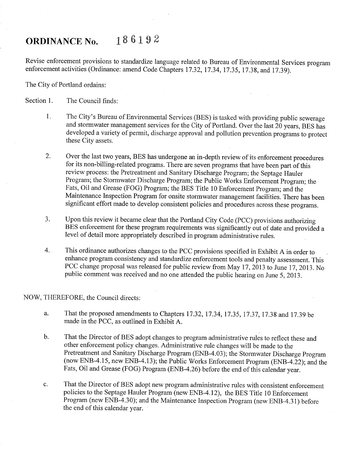## ORDINANCE No.  $186192$

Revise enforcement provisions to standardize language related to Bureau of Environmental Services program enforcement activities (Ordinance: amend Code Chapters 17 .32, 17 .34, 17 .35, 17 .38, and 17.39).

The City of Portland ordains:

Section 1. The Council finds:

- 1. The City's Bureau of Environmental Services (BES) is tasked with providing public sewerage and stormwater management services for the City of Portland. Over the last 20 years, BES has developed a variety of permit, discharge approval and pollution prevention programs to protect these City assets.
- 2. Over the last two years, BES has undergone an in-depth review of its enforcement procedures for its non-billing-related programs. There are seven programs that have been part of this review process: the Pretreatment and Sanitary Discharge Program; the Septage Hauler Program; the Stormwater Discharge Program; the Public Works Enforcement Program; the Fats, Oil and Grease (FOG) Program; the BES Title l0 Enforcement Program; and the Maintenance Inspection Program for onsite stormwater management facilities. There has been significant effort made to develop consistent policies and procedures across these programs.
- J. Upon this review it became clear that the Portland City Code (PCC) provisions authorizing BES enforcement for these program requirements was significantly out of date and provided a level of detail more appropriately described in program administrative rules.
- 4. This ordinance authorizes changes to the PCC provisions specified in Exhibit A in order to enhance program consistency and standardize enforcement tools and penalty assessment. This PCC change proposal was released for public review from May 17, 2013 to June 17, 2013. No public comment was received and no one attended the public hearing on June 5, 2013.

## NOW, THEREFORE, the Council directs:

- That the proposed amendments to Chapters 17.32, 17.34, 17.35, 17.37, 17.38 and 17.39 be a. made in the PCC, as outlined in Exhibit A.
- b. That the Director of BES adopt changes to program administrative rules to reflect these and other enforcement policy changes. Administrative rule changes will be made to the<br>Pretreatment and Sanitary Discharge Program (ENB-4.03); the Stormwater Discharge Program (now ENB-4.15, new ENB-4.13); the Public Works Enforcement Program (ENB-4.22); and the Fats, Oil and Grease (FOG) Program (ENB-4.26) before the end of this calendar year.
- That the Director of BES adopt new program administrative rules with consistent enforcement  $\mathbf{c}$ . policies to the Septage Hauler Program (new ENB -4.12), the BES Title 10 Enforcement Program (new ENB-4.30); and the Maintenance Inspection Program (new ENB-4.31) before the end of this calendar year.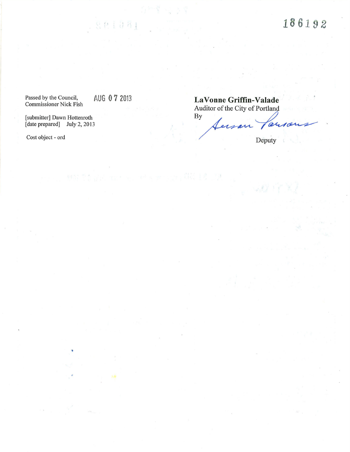186192

Passed by the Council,

801081

[submitter] Dawn Hottenroth By [date prepared] July 2, 2013

Cost object - ord Deputy

AUG 0 7 2013 LaVonne Griffin-Valade<br>Auditor of the City of Portland<br>By ferson are